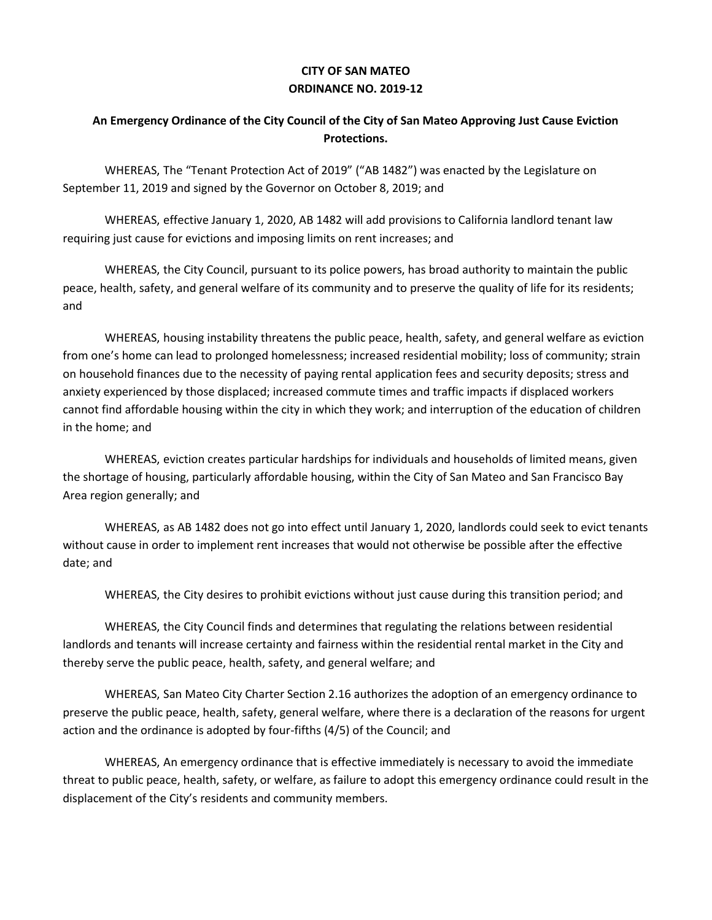## **CITY OF SAN MATEO ORDINANCE NO. 2019-12**

## **An Emergency Ordinance of the City Council of the City of San Mateo Approving Just Cause Eviction Protections.**

WHEREAS, The "Tenant Protection Act of 2019" ("AB 1482") was enacted by the Legislature on September 11, 2019 and signed by the Governor on October 8, 2019; and

WHEREAS, effective January 1, 2020, AB 1482 will add provisions to California landlord tenant law requiring just cause for evictions and imposing limits on rent increases; and

WHEREAS, the City Council, pursuant to its police powers, has broad authority to maintain the public peace, health, safety, and general welfare of its community and to preserve the quality of life for its residents; and

WHEREAS, housing instability threatens the public peace, health, safety, and general welfare as eviction from one's home can lead to prolonged homelessness; increased residential mobility; loss of community; strain on household finances due to the necessity of paying rental application fees and security deposits; stress and anxiety experienced by those displaced; increased commute times and traffic impacts if displaced workers cannot find affordable housing within the city in which they work; and interruption of the education of children in the home; and

WHEREAS, eviction creates particular hardships for individuals and households of limited means, given the shortage of housing, particularly affordable housing, within the City of San Mateo and San Francisco Bay Area region generally; and

WHEREAS, as AB 1482 does not go into effect until January 1, 2020, landlords could seek to evict tenants without cause in order to implement rent increases that would not otherwise be possible after the effective date; and

WHEREAS, the City desires to prohibit evictions without just cause during this transition period; and

WHEREAS, the City Council finds and determines that regulating the relations between residential landlords and tenants will increase certainty and fairness within the residential rental market in the City and thereby serve the public peace, health, safety, and general welfare; and

WHEREAS, San Mateo City Charter Section 2.16 authorizes the adoption of an emergency ordinance to preserve the public peace, health, safety, general welfare, where there is a declaration of the reasons for urgent action and the ordinance is adopted by four-fifths (4/5) of the Council; and

WHEREAS, An emergency ordinance that is effective immediately is necessary to avoid the immediate threat to public peace, health, safety, or welfare, as failure to adopt this emergency ordinance could result in the displacement of the City's residents and community members.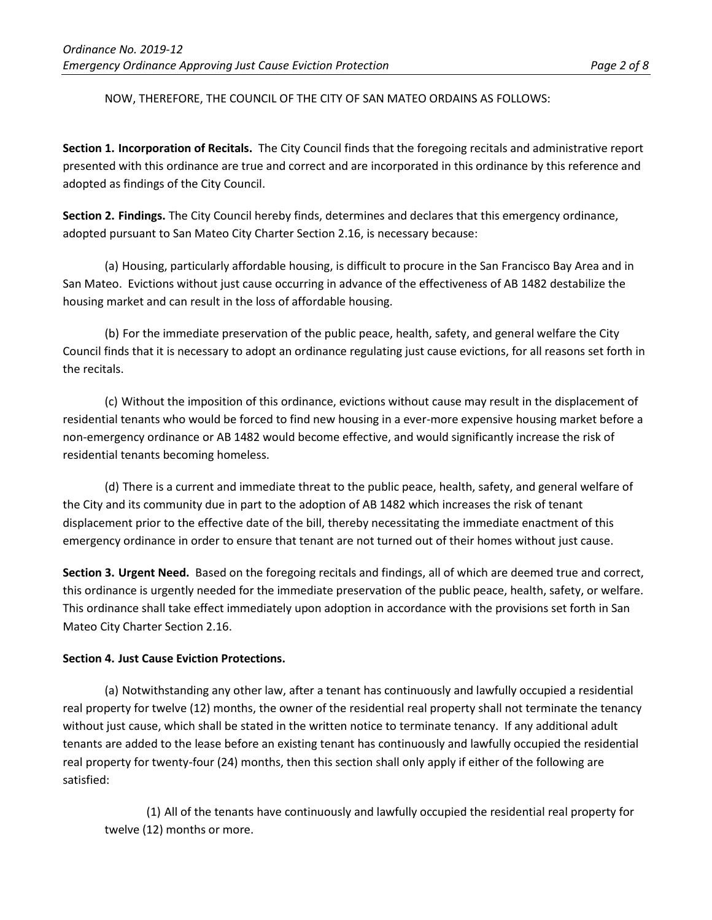## NOW, THEREFORE, THE COUNCIL OF THE CITY OF SAN MATEO ORDAINS AS FOLLOWS:

**Section 1. Incorporation of Recitals.** The City Council finds that the foregoing recitals and administrative report presented with this ordinance are true and correct and are incorporated in this ordinance by this reference and adopted as findings of the City Council.

**Section 2. Findings.** The City Council hereby finds, determines and declares that this emergency ordinance, adopted pursuant to San Mateo City Charter Section 2.16, is necessary because:

(a) Housing, particularly affordable housing, is difficult to procure in the San Francisco Bay Area and in San Mateo. Evictions without just cause occurring in advance of the effectiveness of AB 1482 destabilize the housing market and can result in the loss of affordable housing.

(b) For the immediate preservation of the public peace, health, safety, and general welfare the City Council finds that it is necessary to adopt an ordinance regulating just cause evictions, for all reasons set forth in the recitals.

(c) Without the imposition of this ordinance, evictions without cause may result in the displacement of residential tenants who would be forced to find new housing in a ever-more expensive housing market before a non-emergency ordinance or AB 1482 would become effective, and would significantly increase the risk of residential tenants becoming homeless.

(d) There is a current and immediate threat to the public peace, health, safety, and general welfare of the City and its community due in part to the adoption of AB 1482 which increases the risk of tenant displacement prior to the effective date of the bill, thereby necessitating the immediate enactment of this emergency ordinance in order to ensure that tenant are not turned out of their homes without just cause.

**Section 3. Urgent Need.** Based on the foregoing recitals and findings, all of which are deemed true and correct, this ordinance is urgently needed for the immediate preservation of the public peace, health, safety, or welfare. This ordinance shall take effect immediately upon adoption in accordance with the provisions set forth in San Mateo City Charter Section 2.16.

## **Section 4. Just Cause Eviction Protections.**

(a) Notwithstanding any other law, after a tenant has continuously and lawfully occupied a residential real property for twelve (12) months, the owner of the residential real property shall not terminate the tenancy without just cause, which shall be stated in the written notice to terminate tenancy. If any additional adult tenants are added to the lease before an existing tenant has continuously and lawfully occupied the residential real property for twenty-four (24) months, then this section shall only apply if either of the following are satisfied:

(1) All of the tenants have continuously and lawfully occupied the residential real property for twelve (12) months or more.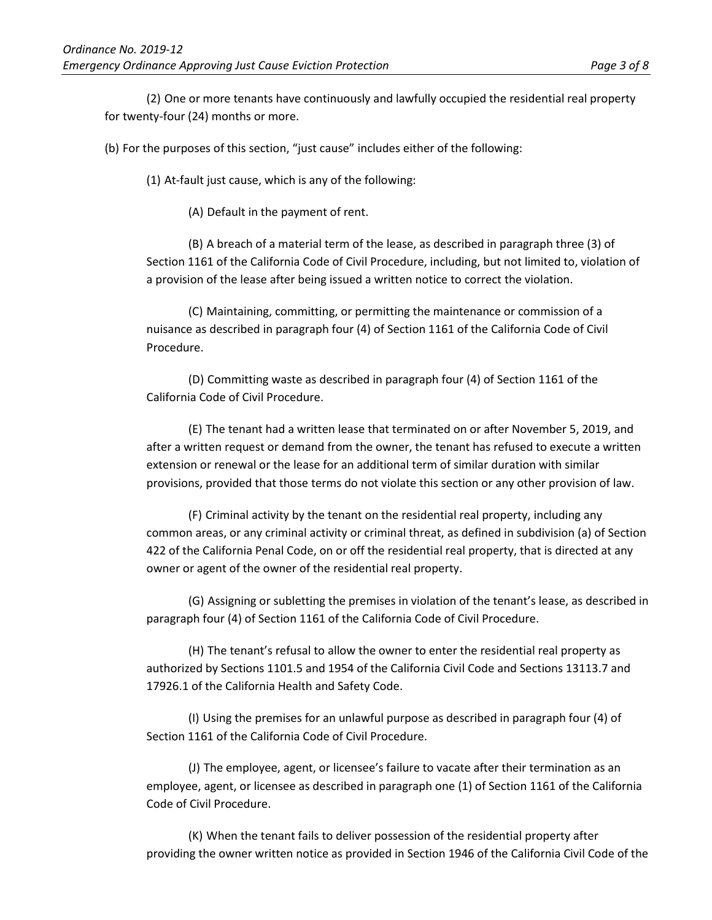(2) One or more tenants have continuously and lawfully occupied the residential real property for twenty-four (24) months or more.

(b) For the purposes of this section, "just cause" includes either of the following:

(1) At-fault just cause, which is any of the following:

(A) Default in the payment of rent.

(B) A breach of a material term of the lease, as described in paragraph three (3) of Section 1161 of the California Code of Civil Procedure, including, but not limited to, violation of a provision of the lease after being issued a written notice to correct the violation.

(C) Maintaining, committing, or permitting the maintenance or commission of a nuisance as described in paragraph four (4) of Section 1161 of the California Code of Civil Procedure.

(D) Committing waste as described in paragraph four (4) of Section 1161 of the California Code of Civil Procedure.

(E) The tenant had a written lease that terminated on or after November 5, 2019, and after a written request or demand from the owner, the tenant has refused to execute a written extension or renewal or the lease for an additional term of similar duration with similar provisions, provided that those terms do not violate this section or any other provision of law.

(F) Criminal activity by the tenant on the residential real property, including any common areas, or any criminal activity or criminal threat, as defined in subdivision (a) of Section 422 of the California Penal Code, on or off the residential real property, that is directed at any owner or agent of the owner of the residential real property.

(G) Assigning or subletting the premises in violation of the tenant's lease, as described in paragraph four (4) of Section 1161 of the California Code of Civil Procedure.

(H) The tenant's refusal to allow the owner to enter the residential real property as authorized by Sections 1101.5 and 1954 of the California Civil Code and Sections 13113.7 and 17926.1 of the California Health and Safety Code.

(I) Using the premises for an unlawful purpose as described in paragraph four (4) of Section 1161 of the California Code of Civil Procedure.

(J) The employee, agent, or licensee's failure to vacate after their termination as an employee, agent, or licensee as described in paragraph one (1) of Section 1161 of the California Code of Civil Procedure.

(K) When the tenant fails to deliver possession of the residential property after providing the owner written notice as provided in Section 1946 of the California Civil Code of the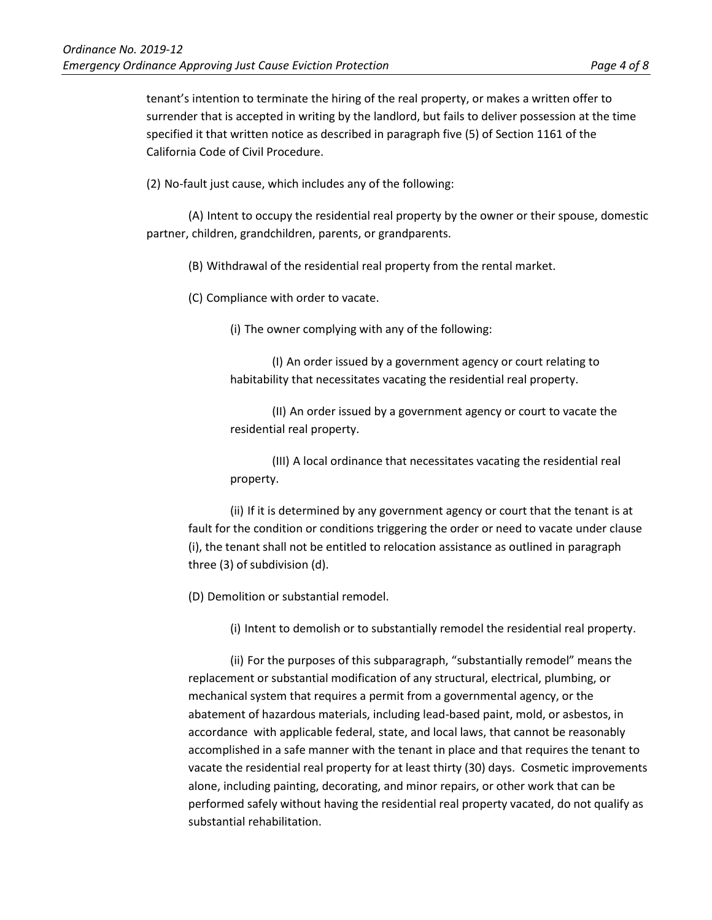tenant's intention to terminate the hiring of the real property, or makes a written offer to surrender that is accepted in writing by the landlord, but fails to deliver possession at the time specified it that written notice as described in paragraph five (5) of Section 1161 of the California Code of Civil Procedure.

(2) No-fault just cause, which includes any of the following:

(A) Intent to occupy the residential real property by the owner or their spouse, domestic partner, children, grandchildren, parents, or grandparents.

(B) Withdrawal of the residential real property from the rental market.

(C) Compliance with order to vacate.

(i) The owner complying with any of the following:

(I) An order issued by a government agency or court relating to habitability that necessitates vacating the residential real property.

(II) An order issued by a government agency or court to vacate the residential real property.

(III) A local ordinance that necessitates vacating the residential real property.

(ii) If it is determined by any government agency or court that the tenant is at fault for the condition or conditions triggering the order or need to vacate under clause (i), the tenant shall not be entitled to relocation assistance as outlined in paragraph three (3) of subdivision (d).

(D) Demolition or substantial remodel.

(i) Intent to demolish or to substantially remodel the residential real property.

(ii) For the purposes of this subparagraph, "substantially remodel" means the replacement or substantial modification of any structural, electrical, plumbing, or mechanical system that requires a permit from a governmental agency, or the abatement of hazardous materials, including lead-based paint, mold, or asbestos, in accordance with applicable federal, state, and local laws, that cannot be reasonably accomplished in a safe manner with the tenant in place and that requires the tenant to vacate the residential real property for at least thirty (30) days. Cosmetic improvements alone, including painting, decorating, and minor repairs, or other work that can be performed safely without having the residential real property vacated, do not qualify as substantial rehabilitation.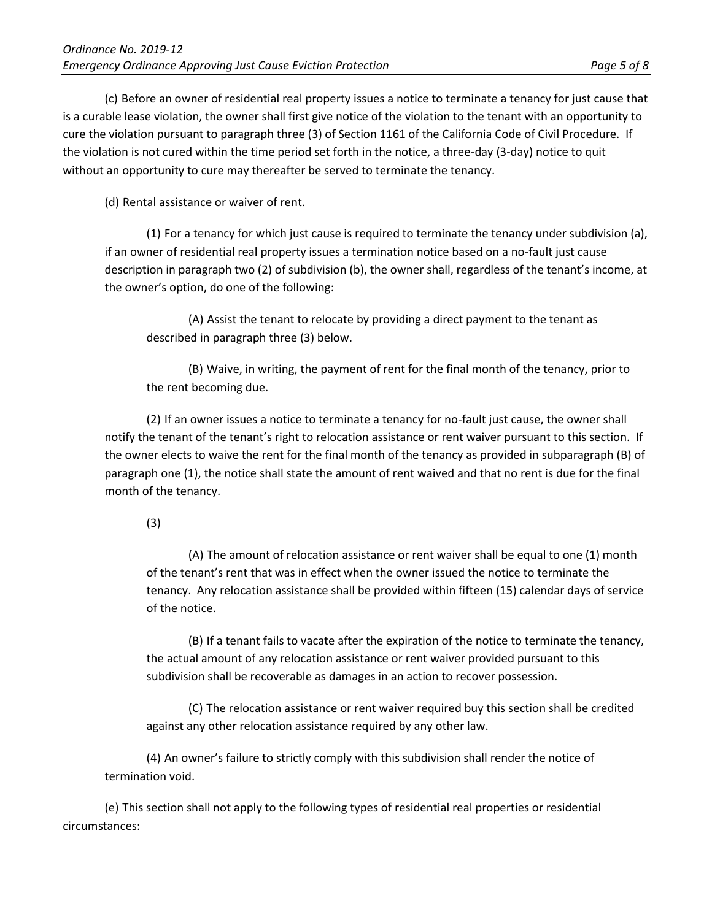(c) Before an owner of residential real property issues a notice to terminate a tenancy for just cause that is a curable lease violation, the owner shall first give notice of the violation to the tenant with an opportunity to cure the violation pursuant to paragraph three (3) of Section 1161 of the California Code of Civil Procedure. If the violation is not cured within the time period set forth in the notice, a three-day (3-day) notice to quit without an opportunity to cure may thereafter be served to terminate the tenancy.

(d) Rental assistance or waiver of rent.

(1) For a tenancy for which just cause is required to terminate the tenancy under subdivision (a), if an owner of residential real property issues a termination notice based on a no-fault just cause description in paragraph two (2) of subdivision (b), the owner shall, regardless of the tenant's income, at the owner's option, do one of the following:

(A) Assist the tenant to relocate by providing a direct payment to the tenant as described in paragraph three (3) below.

(B) Waive, in writing, the payment of rent for the final month of the tenancy, prior to the rent becoming due.

(2) If an owner issues a notice to terminate a tenancy for no-fault just cause, the owner shall notify the tenant of the tenant's right to relocation assistance or rent waiver pursuant to this section. If the owner elects to waive the rent for the final month of the tenancy as provided in subparagraph (B) of paragraph one (1), the notice shall state the amount of rent waived and that no rent is due for the final month of the tenancy.

(3)

(A) The amount of relocation assistance or rent waiver shall be equal to one (1) month of the tenant's rent that was in effect when the owner issued the notice to terminate the tenancy. Any relocation assistance shall be provided within fifteen (15) calendar days of service of the notice.

(B) If a tenant fails to vacate after the expiration of the notice to terminate the tenancy, the actual amount of any relocation assistance or rent waiver provided pursuant to this subdivision shall be recoverable as damages in an action to recover possession.

(C) The relocation assistance or rent waiver required buy this section shall be credited against any other relocation assistance required by any other law.

(4) An owner's failure to strictly comply with this subdivision shall render the notice of termination void.

(e) This section shall not apply to the following types of residential real properties or residential circumstances: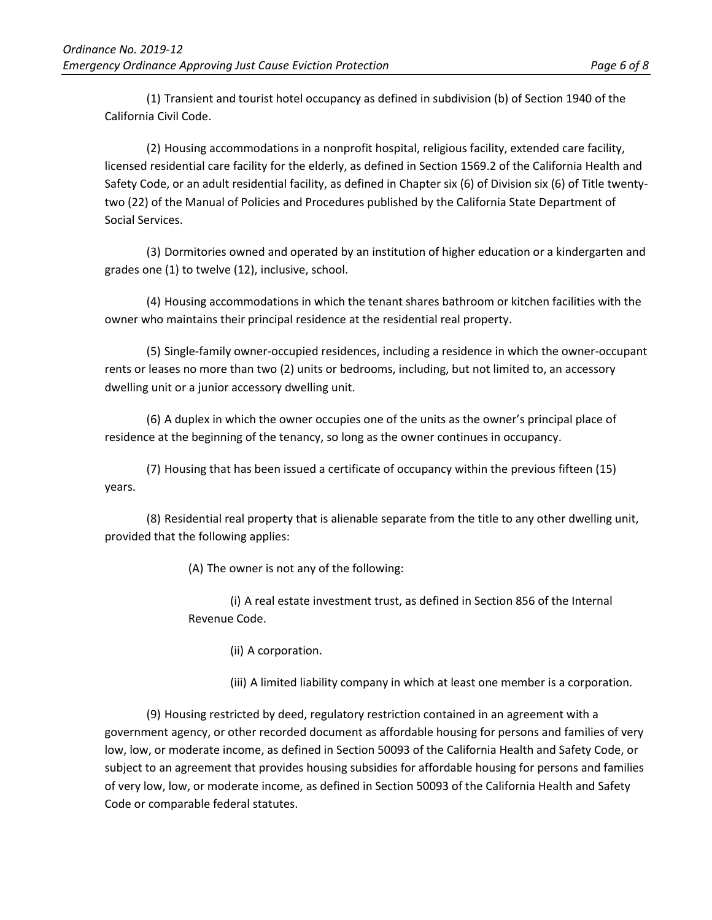(1) Transient and tourist hotel occupancy as defined in subdivision (b) of Section 1940 of the California Civil Code.

(2) Housing accommodations in a nonprofit hospital, religious facility, extended care facility, licensed residential care facility for the elderly, as defined in Section 1569.2 of the California Health and Safety Code, or an adult residential facility, as defined in Chapter six (6) of Division six (6) of Title twentytwo (22) of the Manual of Policies and Procedures published by the California State Department of Social Services.

(3) Dormitories owned and operated by an institution of higher education or a kindergarten and grades one (1) to twelve (12), inclusive, school.

(4) Housing accommodations in which the tenant shares bathroom or kitchen facilities with the owner who maintains their principal residence at the residential real property.

(5) Single-family owner-occupied residences, including a residence in which the owner-occupant rents or leases no more than two (2) units or bedrooms, including, but not limited to, an accessory dwelling unit or a junior accessory dwelling unit.

(6) A duplex in which the owner occupies one of the units as the owner's principal place of residence at the beginning of the tenancy, so long as the owner continues in occupancy.

(7) Housing that has been issued a certificate of occupancy within the previous fifteen (15) years.

(8) Residential real property that is alienable separate from the title to any other dwelling unit, provided that the following applies:

(A) The owner is not any of the following:

(i) A real estate investment trust, as defined in Section 856 of the Internal Revenue Code.

(ii) A corporation.

(iii) A limited liability company in which at least one member is a corporation.

(9) Housing restricted by deed, regulatory restriction contained in an agreement with a government agency, or other recorded document as affordable housing for persons and families of very low, low, or moderate income, as defined in Section 50093 of the California Health and Safety Code, or subject to an agreement that provides housing subsidies for affordable housing for persons and families of very low, low, or moderate income, as defined in Section 50093 of the California Health and Safety Code or comparable federal statutes.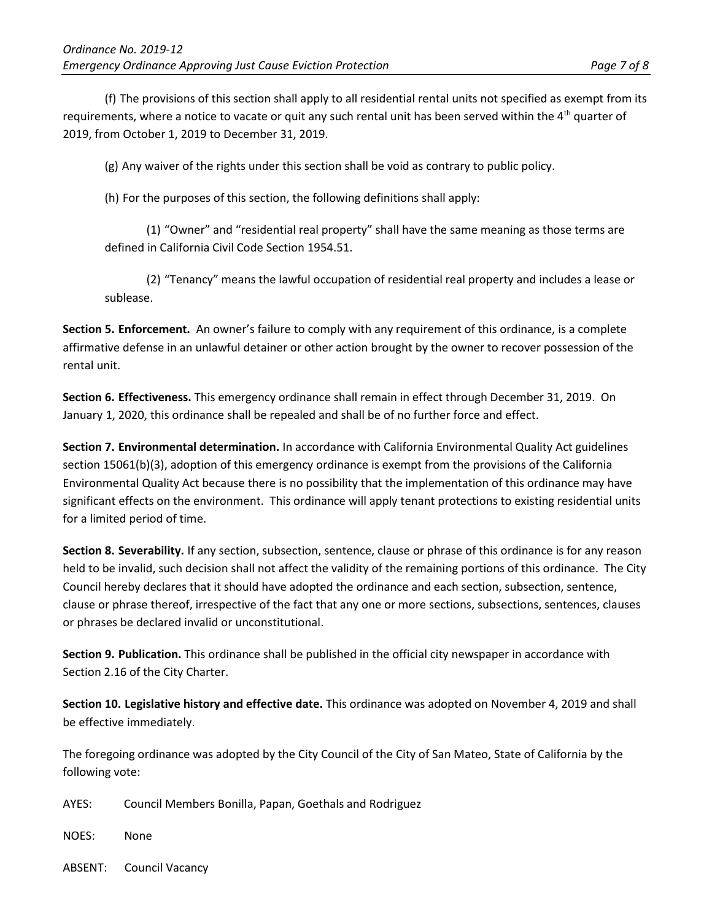(f) The provisions of this section shall apply to all residential rental units not specified as exempt from its requirements, where a notice to vacate or quit any such rental unit has been served within the  $4<sup>th</sup>$  quarter of 2019, from October 1, 2019 to December 31, 2019.

(g) Any waiver of the rights under this section shall be void as contrary to public policy.

(h) For the purposes of this section, the following definitions shall apply:

(1) "Owner" and "residential real property" shall have the same meaning as those terms are defined in California Civil Code Section 1954.51.

(2) "Tenancy" means the lawful occupation of residential real property and includes a lease or sublease.

**Section 5. Enforcement.** An owner's failure to comply with any requirement of this ordinance, is a complete affirmative defense in an unlawful detainer or other action brought by the owner to recover possession of the rental unit.

**Section 6. Effectiveness.** This emergency ordinance shall remain in effect through December 31, 2019. On January 1, 2020, this ordinance shall be repealed and shall be of no further force and effect.

**Section 7. Environmental determination.** In accordance with California Environmental Quality Act guidelines section 15061(b)(3), adoption of this emergency ordinance is exempt from the provisions of the California Environmental Quality Act because there is no possibility that the implementation of this ordinance may have significant effects on the environment. This ordinance will apply tenant protections to existing residential units for a limited period of time.

**Section 8. Severability.** If any section, subsection, sentence, clause or phrase of this ordinance is for any reason held to be invalid, such decision shall not affect the validity of the remaining portions of this ordinance. The City Council hereby declares that it should have adopted the ordinance and each section, subsection, sentence, clause or phrase thereof, irrespective of the fact that any one or more sections, subsections, sentences, clauses or phrases be declared invalid or unconstitutional.

**Section 9. Publication.** This ordinance shall be published in the official city newspaper in accordance with Section 2.16 of the City Charter.

**Section 10. Legislative history and effective date.** This ordinance was adopted on November 4, 2019 and shall be effective immediately.

The foregoing ordinance was adopted by the City Council of the City of San Mateo, State of California by the following vote:

AYES: Council Members Bonilla, Papan, Goethals and Rodriguez

NOES: None

ABSENT: Council Vacancy